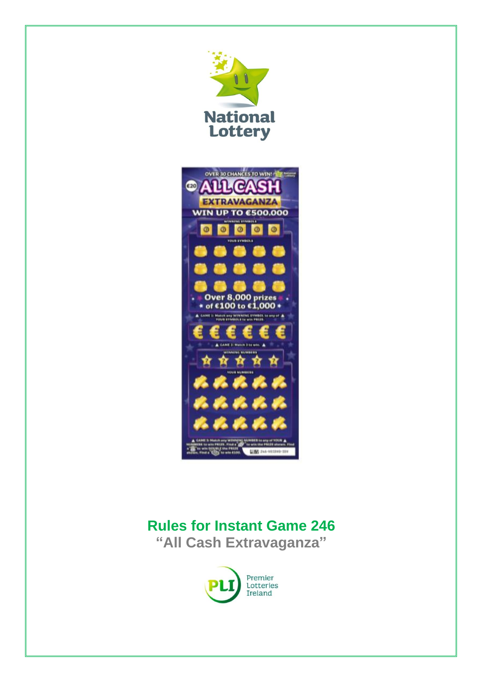

# **Rules for Instant Game 246**

**"All Cash Extravaganza"**

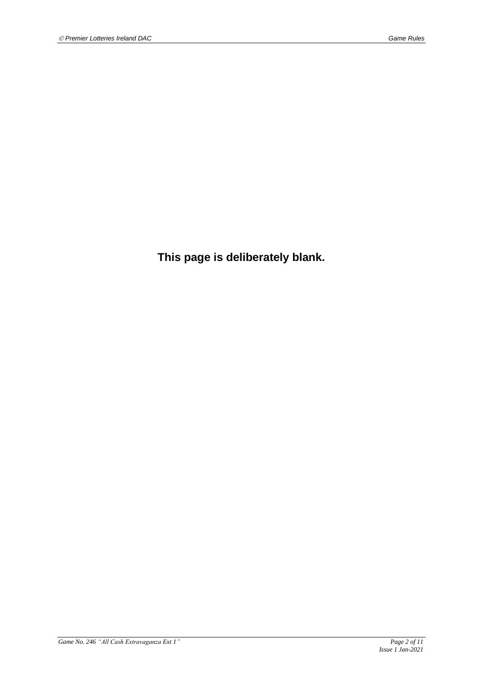**This page is deliberately blank.**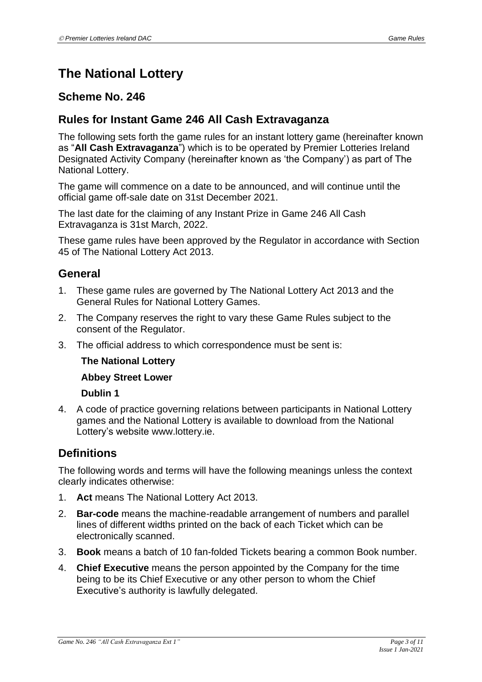# **The National Lottery**

# **Scheme No. 246**

#### **Rules for Instant Game 246 All Cash Extravaganza**

The following sets forth the game rules for an instant lottery game (hereinafter known as "**All Cash Extravaganza**") which is to be operated by Premier Lotteries Ireland Designated Activity Company (hereinafter known as 'the Company') as part of The National Lottery.

The game will commence on a date to be announced, and will continue until the official game off-sale date on 31st December 2021.

The last date for the claiming of any Instant Prize in Game 246 All Cash Extravaganza is 31st March, 2022.

These game rules have been approved by the Regulator in accordance with Section 45 of The National Lottery Act 2013.

# **General**

- 1. These game rules are governed by The National Lottery Act 2013 and the General Rules for National Lottery Games.
- 2. The Company reserves the right to vary these Game Rules subject to the consent of the Regulator.
- 3. The official address to which correspondence must be sent is:

#### **The National Lottery**

#### **Abbey Street Lower**

#### **Dublin 1**

4. A code of practice governing relations between participants in National Lottery games and the National Lottery is available to download from the National Lottery's website [www.lottery.ie.](http://www.lottery.ie/)

# **Definitions**

The following words and terms will have the following meanings unless the context clearly indicates otherwise:

- 1. **Act** means The National Lottery Act 2013.
- 2. **Bar-code** means the machine-readable arrangement of numbers and parallel lines of different widths printed on the back of each Ticket which can be electronically scanned.
- 3. **Book** means a batch of 10 fan-folded Tickets bearing a common Book number.
- 4. **Chief Executive** means the person appointed by the Company for the time being to be its Chief Executive or any other person to whom the Chief Executive's authority is lawfully delegated.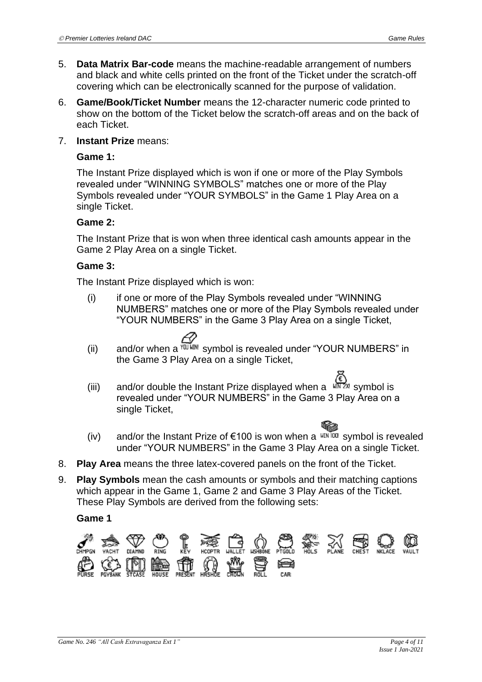- 5. **Data Matrix Bar-code** means the machine-readable arrangement of numbers and black and white cells printed on the front of the Ticket under the scratch-off covering which can be electronically scanned for the purpose of validation.
- 6. **Game/Book/Ticket Number** means the 12-character numeric code printed to show on the bottom of the Ticket below the scratch-off areas and on the back of each Ticket.
- 7. **Instant Prize** means:

#### **Game 1:**

The Instant Prize displayed which is won if one or more of the Play Symbols revealed under "WINNING SYMBOLS" matches one or more of the Play Symbols revealed under "YOUR SYMBOLS" in the Game 1 Play Area on a single Ticket.

#### **Game 2:**

The Instant Prize that is won when three identical cash amounts appear in the Game 2 Play Area on a single Ticket.

#### **Game 3:**

The Instant Prize displayed which is won:

- (i) if one or more of the Play Symbols revealed under "WINNING NUMBERS" matches one or more of the Play Symbols revealed under "YOUR NUMBERS" in the Game 3 Play Area on a single Ticket,
- (ii) and/or when a  $\overline{uw}$  symbol is revealed under "YOUR NUMBERS" in the Game 3 Play Area on a single Ticket,
- (iii) and/or double the Instant Prize displayed when a  $\frac{\sqrt{N}}{2}$  symbol is revealed under "YOUR NUMBERS" in the Game 3 Play Area on a single Ticket,
- (iv) and/or the Instant Prize of  $€100$  is won when a  $WN$  or symbol is revealed under "YOUR NUMBERS" in the Game 3 Play Area on a single Ticket.
- 8. **Play Area** means the three latex-covered panels on the front of the Ticket.
- 9. **Play Symbols** mean the cash amounts or symbols and their matching captions which appear in the Game 1, Game 2 and Game 3 Play Areas of the Ticket. These Play Symbols are derived from the following sets:

#### **Game 1**

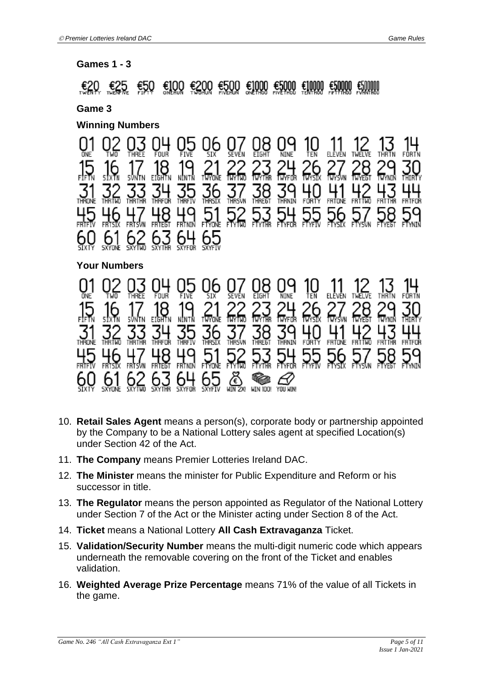#### **Games 1 - 3**  $\epsilon$ 20  $\epsilon$ 25  $\epsilon$ 50  $\epsilon$ 100  $\epsilon$ 200  $\epsilon$ 500  $\epsilon$ 1000  $\epsilon$ 5000  $\epsilon$ 10000  $\epsilon$ 50000  $\epsilon$ 50000  $\epsilon$ 50000 **Game 3 Winning Numbers** 08 Н U6 U U **TINF** —<br>Фто№ O क्रिकि ™™ 3 36  $\frac{38}{1000}$ О Ц THRSTX THRSUN **THRNIN** FORTY **FRTONE** FRITWO 챖 10 25 23  $55$ āķ  $\frac{5}{10}$ ŏ FRTNIN  $65$ ь **Your Numbers** 06 8 IÙ<br>ten FI ĒVĒN tivone ताली NÌNT **36** 3 ٢ THRSUN **THREG** THRNIN FORTY **FRTONE FRTTM** THRFT\ ТC b FIYON FRÌ ĞĎ کہ<br>‱ **bH** Ő ь ℰ vo о  $\overline{W}$   $\overline{Y}$   $\overline{X}$   $\overline{Y}$   $\overline{W}$   $\overline{Y}$   $\overline{W}$   $\overline{Y}$   $\overline{W}$   $\overline{Y}$   $\overline{Y}$   $\overline{W}$   $\overline{Y}$   $\overline{Y}$   $\overline{W}$   $\overline{Y}$   $\overline{Y}$   $\overline{W}$   $\overline{Y}$   $\overline{Y}$   $\overline{W}$   $\overline{Y}$   $\overline{Y}$   $\overline{Y}$   $\overline{$ VIIII LINI

- 10. **Retail Sales Agent** means a person(s), corporate body or partnership appointed by the Company to be a National Lottery sales agent at specified Location(s) under Section 42 of the Act.
- 11. **The Company** means Premier Lotteries Ireland DAC.
- 12. **The Minister** means the minister for Public Expenditure and Reform or his successor in title.
- 13. **The Regulator** means the person appointed as Regulator of the National Lottery under Section 7 of the Act or the Minister acting under Section 8 of the Act.
- 14. **Ticket** means a National Lottery **All Cash Extravaganza** Ticket.
- 15. **Validation/Security Number** means the multi-digit numeric code which appears underneath the removable covering on the front of the Ticket and enables validation.
- 16. **Weighted Average Prize Percentage** means 71% of the value of all Tickets in the game.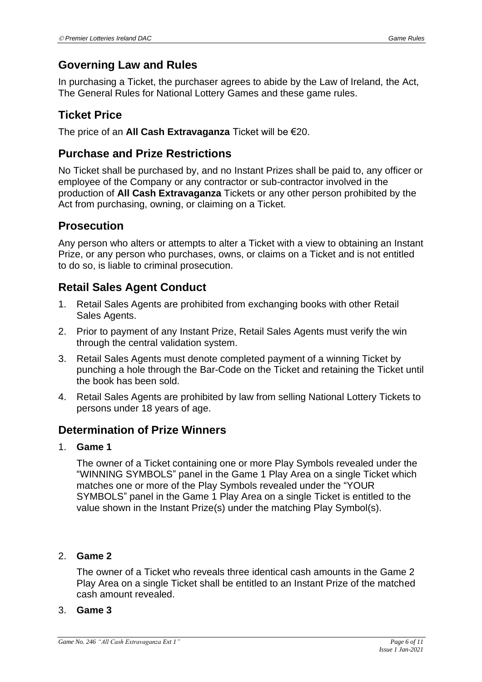# **Governing Law and Rules**

In purchasing a Ticket, the purchaser agrees to abide by the Law of Ireland, the Act, The General Rules for National Lottery Games and these game rules.

# **Ticket Price**

The price of an **All Cash Extravaganza** Ticket will be €20.

#### **Purchase and Prize Restrictions**

No Ticket shall be purchased by, and no Instant Prizes shall be paid to, any officer or employee of the Company or any contractor or sub-contractor involved in the production of **All Cash Extravaganza** Tickets or any other person prohibited by the Act from purchasing, owning, or claiming on a Ticket.

# **Prosecution**

Any person who alters or attempts to alter a Ticket with a view to obtaining an Instant Prize, or any person who purchases, owns, or claims on a Ticket and is not entitled to do so, is liable to criminal prosecution.

# **Retail Sales Agent Conduct**

- 1. Retail Sales Agents are prohibited from exchanging books with other Retail Sales Agents.
- 2. Prior to payment of any Instant Prize, Retail Sales Agents must verify the win through the central validation system.
- 3. Retail Sales Agents must denote completed payment of a winning Ticket by punching a hole through the Bar-Code on the Ticket and retaining the Ticket until the book has been sold.
- 4. Retail Sales Agents are prohibited by law from selling National Lottery Tickets to persons under 18 years of age.

# **Determination of Prize Winners**

#### 1. **Game 1**

The owner of a Ticket containing one or more Play Symbols revealed under the "WINNING SYMBOLS" panel in the Game 1 Play Area on a single Ticket which matches one or more of the Play Symbols revealed under the "YOUR SYMBOLS" panel in the Game 1 Play Area on a single Ticket is entitled to the value shown in the Instant Prize(s) under the matching Play Symbol(s).

#### 2. **Game 2**

The owner of a Ticket who reveals three identical cash amounts in the Game 2 Play Area on a single Ticket shall be entitled to an Instant Prize of the matched cash amount revealed.

#### 3. **Game 3**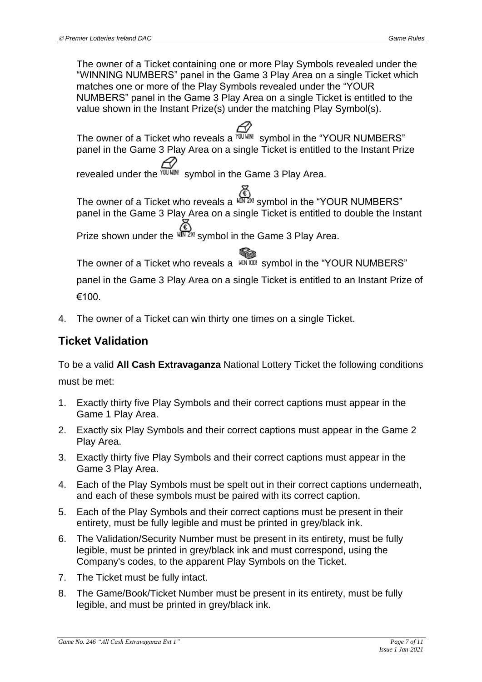The owner of a Ticket containing one or more Play Symbols revealed under the "WINNING NUMBERS" panel in the Game 3 Play Area on a single Ticket which matches one or more of the Play Symbols revealed under the "YOUR NUMBERS" panel in the Game 3 Play Area on a single Ticket is entitled to the value shown in the Instant Prize(s) under the matching Play Symbol(s).

The owner of a Ticket who reveals a  $\overline{{\sf W}}$  and symbol in the "YOUR NUMBERS" panel in the Game 3 Play Area on a single Ticket is entitled to the Instant Prize

revealed under the  $\overline{v}$  symbol in the Game 3 Play Area.

The owner of a Ticket who reveals a  $\sqrt[10]{10}$  symbol in the "YOUR NUMBERS" panel in the Game 3 Play Area on a single Ticket is entitled to double the Instant Prize shown under the world symbol in the Game 3 Play Area.

The owner of a Ticket who reveals a WINTION symbol in the "YOUR NUMBERS" panel in the Game 3 Play Area on a single Ticket is entitled to an Instant Prize of €100.

4. The owner of a Ticket can win thirty one times on a single Ticket.

# **Ticket Validation**

To be a valid **All Cash Extravaganza** National Lottery Ticket the following conditions

must be met:

- 1. Exactly thirty five Play Symbols and their correct captions must appear in the Game 1 Play Area.
- 2. Exactly six Play Symbols and their correct captions must appear in the Game 2 Play Area.
- 3. Exactly thirty five Play Symbols and their correct captions must appear in the Game 3 Play Area.
- 4. Each of the Play Symbols must be spelt out in their correct captions underneath, and each of these symbols must be paired with its correct caption.
- 5. Each of the Play Symbols and their correct captions must be present in their entirety, must be fully legible and must be printed in grey/black ink.
- 6. The Validation/Security Number must be present in its entirety, must be fully legible, must be printed in grey/black ink and must correspond, using the Company's codes, to the apparent Play Symbols on the Ticket.
- 7. The Ticket must be fully intact.
- 8. The Game/Book/Ticket Number must be present in its entirety, must be fully legible, and must be printed in grey/black ink.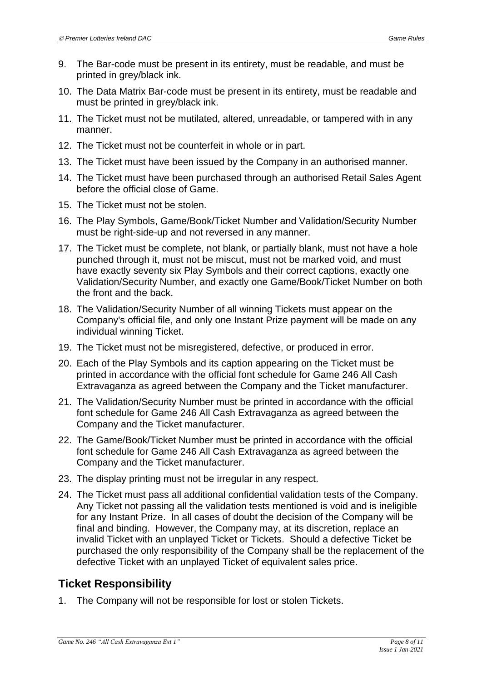- 9. The Bar-code must be present in its entirety, must be readable, and must be printed in grey/black ink.
- 10. The Data Matrix Bar-code must be present in its entirety, must be readable and must be printed in grey/black ink.
- 11. The Ticket must not be mutilated, altered, unreadable, or tampered with in any manner.
- 12. The Ticket must not be counterfeit in whole or in part.
- 13. The Ticket must have been issued by the Company in an authorised manner.
- 14. The Ticket must have been purchased through an authorised Retail Sales Agent before the official close of Game.
- 15. The Ticket must not be stolen.
- 16. The Play Symbols, Game/Book/Ticket Number and Validation/Security Number must be right-side-up and not reversed in any manner.
- 17. The Ticket must be complete, not blank, or partially blank, must not have a hole punched through it, must not be miscut, must not be marked void, and must have exactly seventy six Play Symbols and their correct captions, exactly one Validation/Security Number, and exactly one Game/Book/Ticket Number on both the front and the back.
- 18. The Validation/Security Number of all winning Tickets must appear on the Company's official file, and only one Instant Prize payment will be made on any individual winning Ticket.
- 19. The Ticket must not be misregistered, defective, or produced in error.
- 20. Each of the Play Symbols and its caption appearing on the Ticket must be printed in accordance with the official font schedule for Game 246 All Cash Extravaganza as agreed between the Company and the Ticket manufacturer.
- 21. The Validation/Security Number must be printed in accordance with the official font schedule for Game 246 All Cash Extravaganza as agreed between the Company and the Ticket manufacturer.
- 22. The Game/Book/Ticket Number must be printed in accordance with the official font schedule for Game 246 All Cash Extravaganza as agreed between the Company and the Ticket manufacturer.
- 23. The display printing must not be irregular in any respect.
- 24. The Ticket must pass all additional confidential validation tests of the Company. Any Ticket not passing all the validation tests mentioned is void and is ineligible for any Instant Prize. In all cases of doubt the decision of the Company will be final and binding. However, the Company may, at its discretion, replace an invalid Ticket with an unplayed Ticket or Tickets. Should a defective Ticket be purchased the only responsibility of the Company shall be the replacement of the defective Ticket with an unplayed Ticket of equivalent sales price.

# **Ticket Responsibility**

1. The Company will not be responsible for lost or stolen Tickets.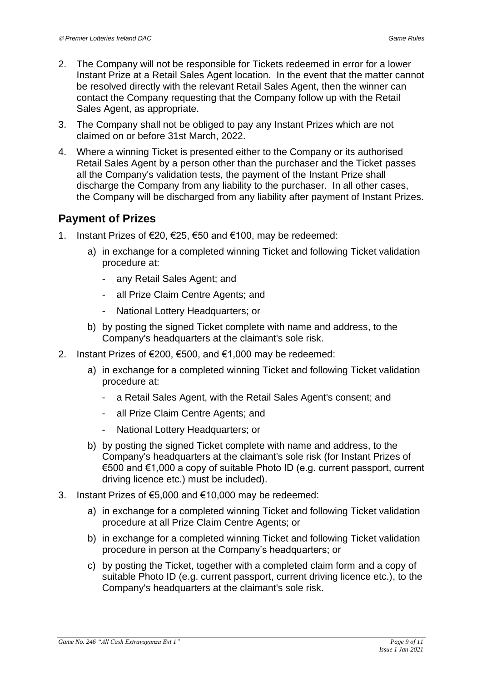- 2. The Company will not be responsible for Tickets redeemed in error for a lower Instant Prize at a Retail Sales Agent location. In the event that the matter cannot be resolved directly with the relevant Retail Sales Agent, then the winner can contact the Company requesting that the Company follow up with the Retail Sales Agent, as appropriate.
- 3. The Company shall not be obliged to pay any Instant Prizes which are not claimed on or before 31st March, 2022.
- 4. Where a winning Ticket is presented either to the Company or its authorised Retail Sales Agent by a person other than the purchaser and the Ticket passes all the Company's validation tests, the payment of the Instant Prize shall discharge the Company from any liability to the purchaser. In all other cases, the Company will be discharged from any liability after payment of Instant Prizes.

# **Payment of Prizes**

- 1. Instant Prizes of €20, €25, €50 and €100, may be redeemed:
	- a) in exchange for a completed winning Ticket and following Ticket validation procedure at:
		- any Retail Sales Agent; and
		- all Prize Claim Centre Agents; and
		- National Lottery Headquarters; or
	- b) by posting the signed Ticket complete with name and address, to the Company's headquarters at the claimant's sole risk.
- 2. Instant Prizes of €200, €500, and €1,000 may be redeemed:
	- a) in exchange for a completed winning Ticket and following Ticket validation procedure at:
		- a Retail Sales Agent, with the Retail Sales Agent's consent; and
		- all Prize Claim Centre Agents; and
		- National Lottery Headquarters; or
	- b) by posting the signed Ticket complete with name and address, to the Company's headquarters at the claimant's sole risk (for Instant Prizes of €500 and €1,000 a copy of suitable Photo ID (e.g. current passport, current driving licence etc.) must be included).
- 3. Instant Prizes of €5,000 and €10,000 may be redeemed:
	- a) in exchange for a completed winning Ticket and following Ticket validation procedure at all Prize Claim Centre Agents; or
	- b) in exchange for a completed winning Ticket and following Ticket validation procedure in person at the Company's headquarters; or
	- c) by posting the Ticket, together with a completed claim form and a copy of suitable Photo ID (e.g. current passport, current driving licence etc.), to the Company's headquarters at the claimant's sole risk.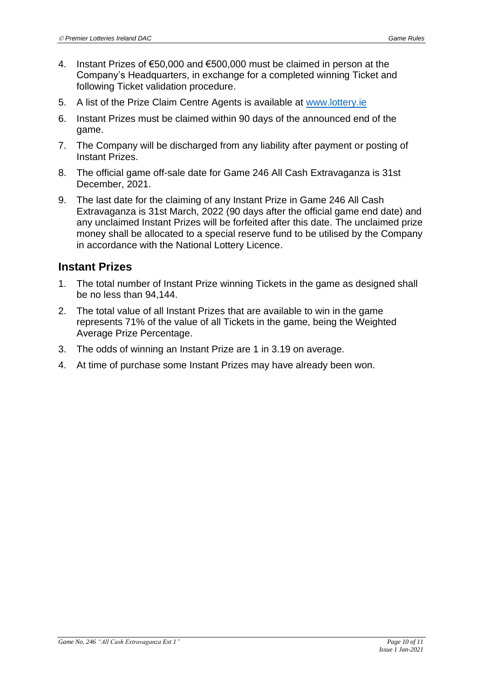- 4. Instant Prizes of €50,000 and €500,000 must be claimed in person at the Company's Headquarters, in exchange for a completed winning Ticket and following Ticket validation procedure.
- 5. A list of the Prize Claim Centre Agents is available at [www.lottery.ie](http://www.lottery.ie/)
- 6. Instant Prizes must be claimed within 90 days of the announced end of the game.
- 7. The Company will be discharged from any liability after payment or posting of Instant Prizes.
- 8. The official game off-sale date for Game 246 All Cash Extravaganza is 31st December, 2021.
- 9. The last date for the claiming of any Instant Prize in Game 246 All Cash Extravaganza is 31st March, 2022 (90 days after the official game end date) and any unclaimed Instant Prizes will be forfeited after this date. The unclaimed prize money shall be allocated to a special reserve fund to be utilised by the Company in accordance with the National Lottery Licence.

#### **Instant Prizes**

- 1. The total number of Instant Prize winning Tickets in the game as designed shall be no less than 94,144.
- 2. The total value of all Instant Prizes that are available to win in the game represents 71% of the value of all Tickets in the game, being the Weighted Average Prize Percentage.
- 3. The odds of winning an Instant Prize are 1 in 3.19 on average.
- 4. At time of purchase some Instant Prizes may have already been won.